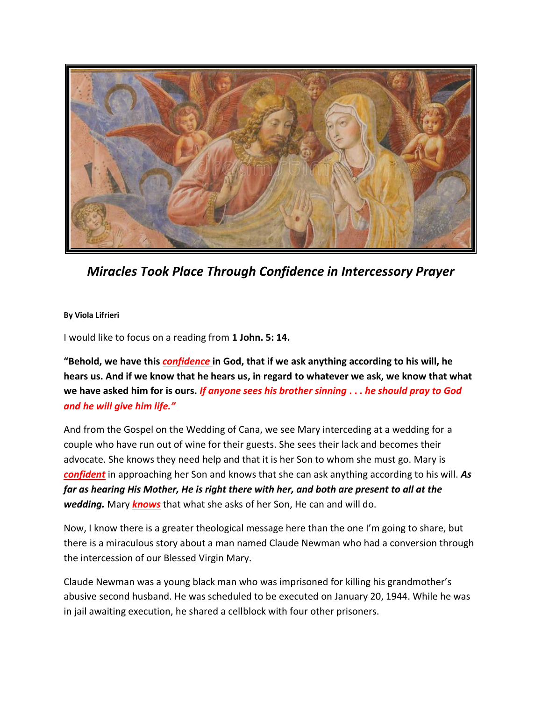

*Miracles Took Place Through Confidence in Intercessory Prayer*

**By Viola Lifrieri**

I would like to focus on a reading from **1 John. 5: 14.**

**"Behold, we have this** *confidence* **in God, that if we ask anything according to his will, he hears us. And if we know that he hears us, in regard to whatever we ask, we know that what we have asked him for is ours.** *If anyone sees his brother sinning* **. . .** *he should pray to God and he will give him life."*

And from the Gospel on the Wedding of Cana, we see Mary interceding at a wedding for a couple who have run out of wine for their guests. She sees their lack and becomes their advocate. She knows they need help and that it is her Son to whom she must go. Mary is *confident* in approaching her Son and knows that she can ask anything according to his will. *As far as hearing His Mother, He is right there with her, and both are present to all at the wedding.* Mary *knows* that what she asks of her Son, He can and will do.

Now, I know there is a greater theological message here than the one I'm going to share, but there is a miraculous story about a man named Claude Newman who had a conversion through the intercession of our Blessed Virgin Mary.

Claude Newman was a young black man who was imprisoned for killing his grandmother's abusive second husband. He was scheduled to be executed on January 20, 1944. While he was in jail awaiting execution, he shared a cellblock with four other prisoners.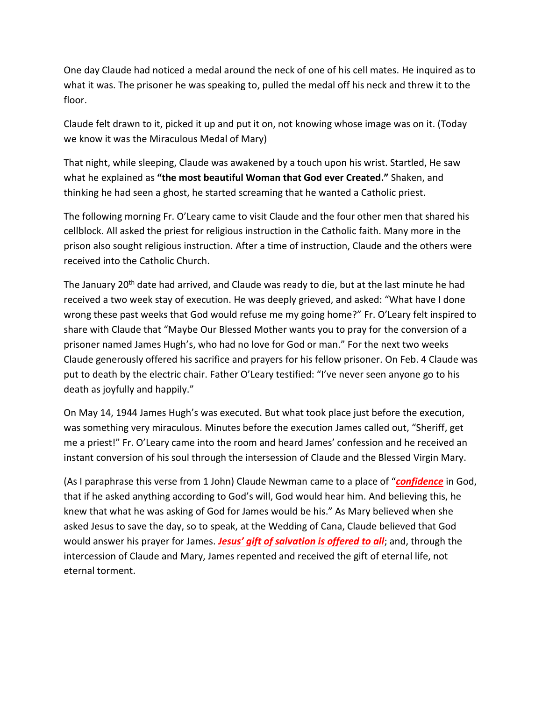One day Claude had noticed a medal around the neck of one of his cell mates. He inquired as to what it was. The prisoner he was speaking to, pulled the medal off his neck and threw it to the floor.

Claude felt drawn to it, picked it up and put it on, not knowing whose image was on it. (Today we know it was the Miraculous Medal of Mary)

That night, while sleeping, Claude was awakened by a touch upon his wrist. Startled, He saw what he explained as **"the most beautiful Woman that God ever Created."** Shaken, and thinking he had seen a ghost, he started screaming that he wanted a Catholic priest.

The following morning Fr. O'Leary came to visit Claude and the four other men that shared his cellblock. All asked the priest for religious instruction in the Catholic faith. Many more in the prison also sought religious instruction. After a time of instruction, Claude and the others were received into the Catholic Church.

The January 20<sup>th</sup> date had arrived, and Claude was ready to die, but at the last minute he had received a two week stay of execution. He was deeply grieved, and asked: "What have I done wrong these past weeks that God would refuse me my going home?" Fr. O'Leary felt inspired to share with Claude that "Maybe Our Blessed Mother wants you to pray for the conversion of a prisoner named James Hugh's, who had no love for God or man." For the next two weeks Claude generously offered his sacrifice and prayers for his fellow prisoner. On Feb. 4 Claude was put to death by the electric chair. Father O'Leary testified: "I've never seen anyone go to his death as joyfully and happily."

On May 14, 1944 James Hugh's was executed. But what took place just before the execution, was something very miraculous. Minutes before the execution James called out, "Sheriff, get me a priest!" Fr. O'Leary came into the room and heard James' confession and he received an instant conversion of his soul through the intersession of Claude and the Blessed Virgin Mary.

(As I paraphrase this verse from 1 John) Claude Newman came to a place of "*confidence* in God, that if he asked anything according to God's will, God would hear him. And believing this, he knew that what he was asking of God for James would be his." As Mary believed when she asked Jesus to save the day, so to speak, at the Wedding of Cana, Claude believed that God would answer his prayer for James. *Jesus' gift of salvation is offered to all*; and, through the intercession of Claude and Mary, James repented and received the gift of eternal life, not eternal torment.